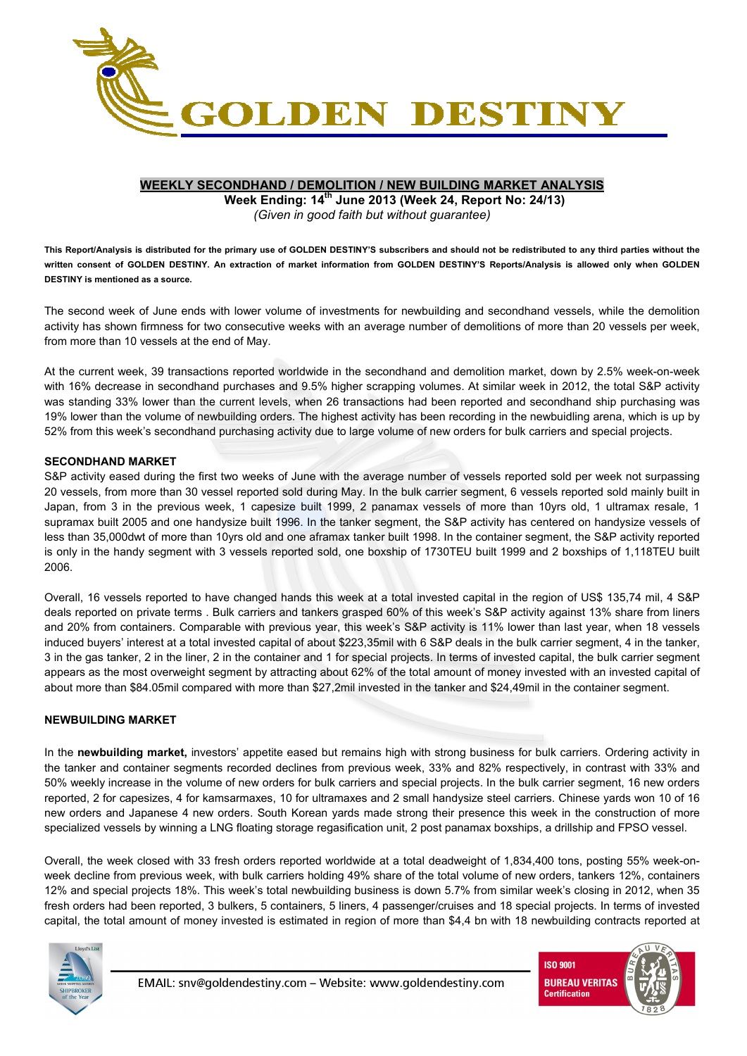

# **WEEKLY SECONDHAND / DEMOLITION / NEW BUILDING MARKET ANALYSIS**

**Week Ending: 14th June 2013 (Week 24, Report No: 24/13)**  *(Given in good faith but without guarantee)* 

**This Report/Analysis is distributed for the primary use of GOLDEN DESTINY'S subscribers and should not be redistributed to any third parties without the written consent of GOLDEN DESTINY. An extraction of market information from GOLDEN DESTINY'S Reports/Analysis is allowed only when GOLDEN DESTINY is mentioned as a source.** 

The second week of June ends with lower volume of investments for newbuilding and secondhand vessels, while the demolition activity has shown firmness for two consecutive weeks with an average number of demolitions of more than 20 vessels per week, from more than 10 vessels at the end of May.

At the current week, 39 transactions reported worldwide in the secondhand and demolition market, down by 2.5% week-on-week with 16% decrease in secondhand purchases and 9.5% higher scrapping volumes. At similar week in 2012, the total S&P activity was standing 33% lower than the current levels, when 26 transactions had been reported and secondhand ship purchasing was 19% lower than the volume of newbuilding orders. The highest activity has been recording in the newbuidling arena, which is up by 52% from this week's secondhand purchasing activity due to large volume of new orders for bulk carriers and special projects.

### **SECONDHAND MARKET**

S&P activity eased during the first two weeks of June with the average number of vessels reported sold per week not surpassing 20 vessels, from more than 30 vessel reported sold during May. In the bulk carrier segment, 6 vessels reported sold mainly built in Japan, from 3 in the previous week, 1 capesize built 1999, 2 panamax vessels of more than 10yrs old, 1 ultramax resale, 1 supramax built 2005 and one handysize built 1996. In the tanker segment, the S&P activity has centered on handysize vessels of less than 35,000dwt of more than 10yrs old and one aframax tanker built 1998. In the container segment, the S&P activity reported is only in the handy segment with 3 vessels reported sold, one boxship of 1730TEU built 1999 and 2 boxships of 1,118TEU built 2006.

Overall, 16 vessels reported to have changed hands this week at a total invested capital in the region of US\$ 135,74 mil, 4 S&P deals reported on private terms . Bulk carriers and tankers grasped 60% of this week's S&P activity against 13% share from liners and 20% from containers. Comparable with previous year, this week's S&P activity is 11% lower than last year, when 18 vessels induced buyers' interest at a total invested capital of about \$223,35mil with 6 S&P deals in the bulk carrier segment, 4 in the tanker, 3 in the gas tanker, 2 in the liner, 2 in the container and 1 for special projects. In terms of invested capital, the bulk carrier segment appears as the most overweight segment by attracting about 62% of the total amount of money invested with an invested capital of about more than \$84.05mil compared with more than \$27,2mil invested in the tanker and \$24,49mil in the container segment.

## **NEWBUILDING MARKET**

In the **newbuilding market,** investors' appetite eased but remains high with strong business for bulk carriers. Ordering activity in the tanker and container segments recorded declines from previous week, 33% and 82% respectively, in contrast with 33% and 50% weekly increase in the volume of new orders for bulk carriers and special projects. In the bulk carrier segment, 16 new orders reported, 2 for capesizes, 4 for kamsarmaxes, 10 for ultramaxes and 2 small handysize steel carriers. Chinese yards won 10 of 16 new orders and Japanese 4 new orders. South Korean yards made strong their presence this week in the construction of more specialized vessels by winning a LNG floating storage regasification unit, 2 post panamax boxships, a drillship and FPSO vessel.

Overall, the week closed with 33 fresh orders reported worldwide at a total deadweight of 1,834,400 tons, posting 55% week-onweek decline from previous week, with bulk carriers holding 49% share of the total volume of new orders, tankers 12%, containers 12% and special projects 18%. This week's total newbuilding business is down 5.7% from similar week's closing in 2012, when 35 fresh orders had been reported, 3 bulkers, 5 containers, 5 liners, 4 passenger/cruises and 18 special projects. In terms of invested capital, the total amount of money invested is estimated in region of more than \$4,4 bn with 18 newbuilding contracts reported at



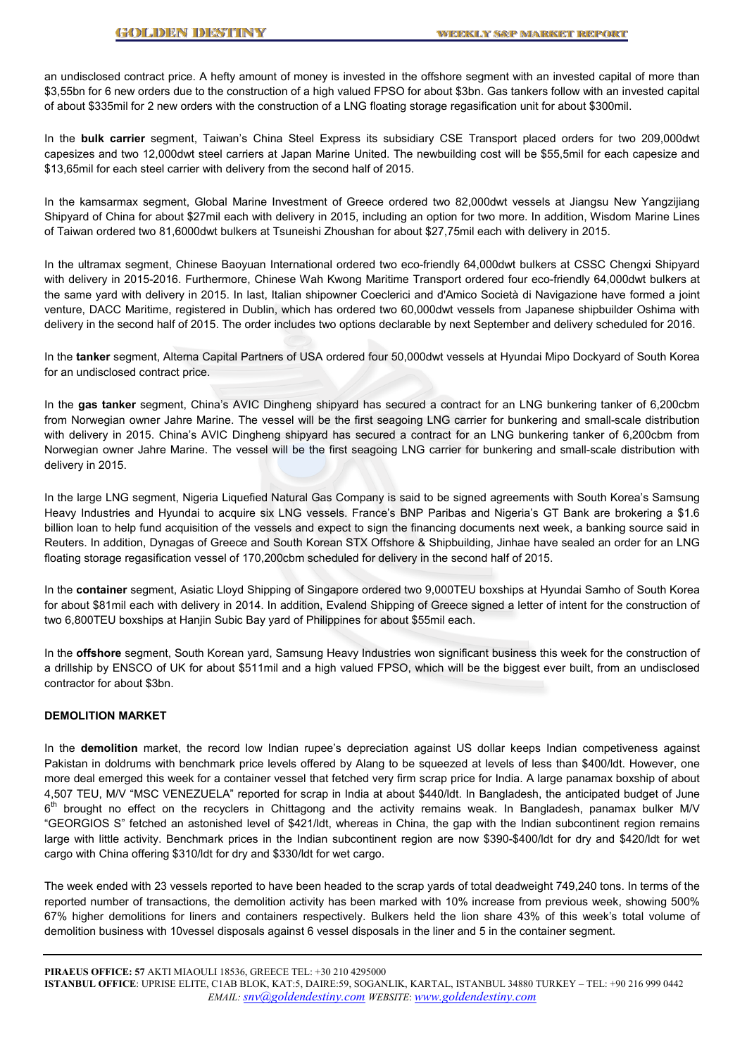an undisclosed contract price. A hefty amount of money is invested in the offshore segment with an invested capital of more than \$3,55bn for 6 new orders due to the construction of a high valued FPSO for about \$3bn. Gas tankers follow with an invested capital of about \$335mil for 2 new orders with the construction of a LNG floating storage regasification unit for about \$300mil.

In the **bulk carrier** segment, Taiwan's China Steel Express its subsidiary CSE Transport placed orders for two 209,000dwt capesizes and two 12,000dwt steel carriers at Japan Marine United. The newbuilding cost will be \$55,5mil for each capesize and \$13,65mil for each steel carrier with delivery from the second half of 2015.

In the kamsarmax segment, Global Marine Investment of Greece ordered two 82,000dwt vessels at Jiangsu New Yangzijiang Shipyard of China for about \$27mil each with delivery in 2015, including an option for two more. In addition, Wisdom Marine Lines of Taiwan ordered two 81,6000dwt bulkers at Tsuneishi Zhoushan for about \$27,75mil each with delivery in 2015.

In the ultramax segment, Chinese Baoyuan International ordered two eco-friendly 64,000dwt bulkers at CSSC Chengxi Shipyard with delivery in 2015-2016. Furthermore, Chinese Wah Kwong Maritime Transport ordered four eco-friendly 64,000dwt bulkers at the same yard with delivery in 2015. In last, Italian shipowner Coeclerici and d'Amico Società di Navigazione have formed a joint venture, DACC Maritime, registered in Dublin, which has ordered two 60,000dwt vessels from Japanese shipbuilder Oshima with delivery in the second half of 2015. The order includes two options declarable by next September and delivery scheduled for 2016.

In the **tanker** segment, Alterna Capital Partners of USA ordered four 50,000dwt vessels at Hyundai Mipo Dockyard of South Korea for an undisclosed contract price.

In the **gas tanker** segment, China's AVIC Dingheng shipyard has secured a contract for an LNG bunkering tanker of 6,200cbm from Norwegian owner Jahre Marine. The vessel will be the first seagoing LNG carrier for bunkering and small-scale distribution with delivery in 2015. China's AVIC Dingheng shipyard has secured a contract for an LNG bunkering tanker of 6,200cbm from Norwegian owner Jahre Marine. The vessel will be the first seagoing LNG carrier for bunkering and small-scale distribution with delivery in 2015.

In the large LNG segment, Nigeria Liquefied Natural Gas Company is said to be signed agreements with South Korea's Samsung Heavy Industries and Hyundai to acquire six LNG vessels. France's BNP Paribas and Nigeria's GT Bank are brokering a \$1.6 billion loan to help fund acquisition of the vessels and expect to sign the financing documents next week, a banking source said in Reuters. In addition, Dynagas of Greece and South Korean STX Offshore & Shipbuilding, Jinhae have sealed an order for an LNG floating storage regasification vessel of 170,200cbm scheduled for delivery in the second half of 2015.

In the **container** segment, Asiatic Lloyd Shipping of Singapore ordered two 9,000TEU boxships at Hyundai Samho of South Korea for about \$81mil each with delivery in 2014. In addition, Evalend Shipping of Greece signed a letter of intent for the construction of two 6,800TEU boxships at Hanjin Subic Bay yard of Philippines for about \$55mil each.

In the **offshore** segment, South Korean yard, Samsung Heavy Industries won significant business this week for the construction of a drillship by ENSCO of UK for about \$511mil and a high valued FPSO, which will be the biggest ever built, from an undisclosed contractor for about \$3bn.

#### **DEMOLITION MARKET**

In the **demolition** market, the record low Indian rupee's depreciation against US dollar keeps Indian competiveness against Pakistan in doldrums with benchmark price levels offered by Alang to be squeezed at levels of less than \$400/ldt. However, one more deal emerged this week for a container vessel that fetched very firm scrap price for India. A large panamax boxship of about 4,507 TEU, M/V "MSC VENEZUELA" reported for scrap in India at about \$440/ldt. In Bangladesh, the anticipated budget of June 6<sup>th</sup> brought no effect on the recyclers in Chittagong and the activity remains weak. In Bangladesh, panamax bulker M/V "GEORGIOS S" fetched an astonished level of \$421/ldt, whereas in China, the gap with the Indian subcontinent region remains large with little activity. Benchmark prices in the Indian subcontinent region are now \$390-\$400/ldt for dry and \$420/ldt for wet cargo with China offering \$310/ldt for dry and \$330/ldt for wet cargo.

The week ended with 23 vessels reported to have been headed to the scrap yards of total deadweight 749,240 tons. In terms of the reported number of transactions, the demolition activity has been marked with 10% increase from previous week, showing 500% 67% higher demolitions for liners and containers respectively. Bulkers held the lion share 43% of this week's total volume of demolition business with 10vessel disposals against 6 vessel disposals in the liner and 5 in the container segment.